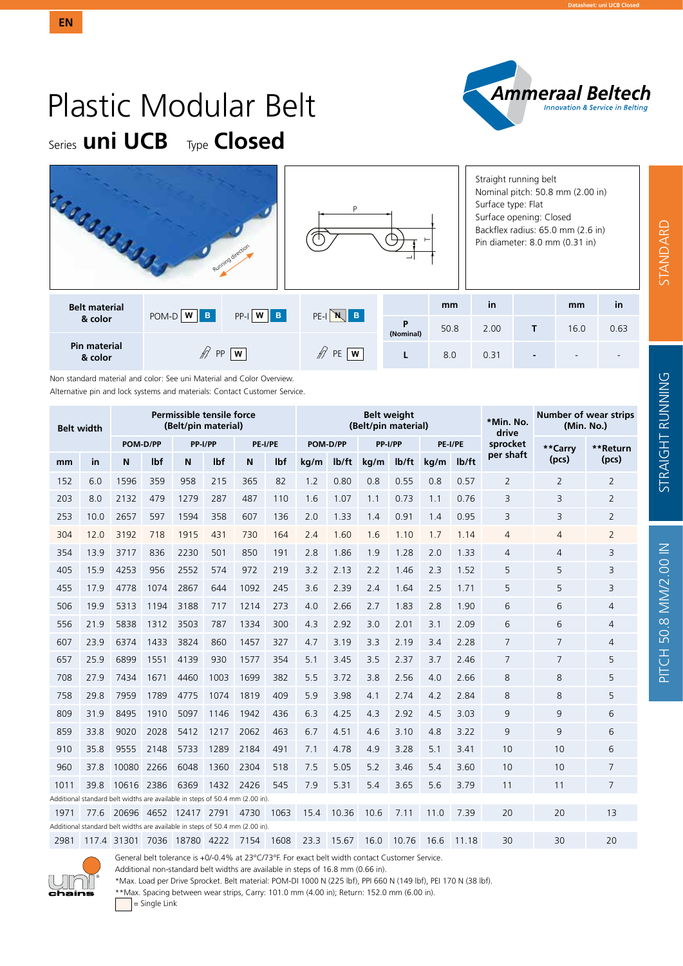

# Plastic Modular Belt Series **uni UCB** Type **Closed**

|                                |             | Running direction | D       | ᆜ              |      | Straight running belt<br>Nominal pitch: 50.8 mm (2.00 in)<br>Surface type: Flat<br>Surface opening: Closed<br>Backflex radius: 65.0 mm (2.6 in)<br>Pin diameter: 8.0 mm (0.31 in) |   |      |      |  |  |
|--------------------------------|-------------|-------------------|---------|----------------|------|-----------------------------------------------------------------------------------------------------------------------------------------------------------------------------------|---|------|------|--|--|
| <b>Belt material</b>           | $POM-D W B$ | $PP-I$ $W$ $B$    | PE-INB  |                | mm   | in                                                                                                                                                                                |   | mm   | in   |  |  |
| & color                        |             |                   |         | P<br>(Nominal) | 50.8 | 2.00                                                                                                                                                                              | т | 16.0 | 0.63 |  |  |
| <b>Pin material</b><br>& color | <b>PP</b>   | w                 | PE<br>w |                | 8.0  | 0.31                                                                                                                                                                              | - |      |      |  |  |

Non standard material and color: See uni Material and Color Overview. Alternative pin and lock systems and materials: Contact Customer Service.

| <b>Belt width</b> |      |                                                                              |          | Permissible tensile force<br>(Belt/pin material) |         |      |         |      |          | (Belt/pin material) | <b>Belt weight</b> |      | *Min. No.<br>drive | Number of wear strips<br>(Min. No.) |                |                |  |
|-------------------|------|------------------------------------------------------------------------------|----------|--------------------------------------------------|---------|------|---------|------|----------|---------------------|--------------------|------|--------------------|-------------------------------------|----------------|----------------|--|
|                   |      |                                                                              | POM-D/PP |                                                  | PP-I/PP |      | PE-I/PE |      | POM-D/PP | PP-I/PP             |                    |      | <b>PE-I/PE</b>     | sprocket                            | **Carry        | **Return       |  |
| mm                | in   | N                                                                            | lbf      | N                                                | lbf     | N    | lbf     | kg/m | lb/ft    | kg/m                | $I\frac{b}{ft}$    | kg/m | lb/ft              | per shaft                           | (pcs)          | (pcs)          |  |
| 152               | 6.0  | 1596                                                                         | 359      | 958                                              | 215     | 365  | 82      | 1.2  | 0.80     | 0.8                 | 0.55               | 0.8  | 0.57               | $\overline{2}$                      | $\overline{2}$ | $\overline{2}$ |  |
| 203               | 8.0  | 2132                                                                         | 479      | 1279                                             | 287     | 487  | 110     | 1.6  | 1.07     | 1.1                 | 0.73               | 1.1  | 0.76               | 3                                   | 3              | 2              |  |
| 253               | 10.0 | 2657                                                                         | 597      | 1594                                             | 358     | 607  | 136     | 2.0  | 1.33     | 1.4                 | 0.91               | 1.4  | 0.95               | 3                                   | 3              | $\overline{2}$ |  |
| 304               | 12.0 | 3192                                                                         | 718      | 1915                                             | 431     | 730  | 164     | 2.4  | 1.60     | 1.6                 | 1.10               | 1.7  | 1.14               | $\overline{4}$                      | 4              | $\overline{2}$ |  |
| 354               | 13.9 | 3717                                                                         | 836      | 2230                                             | 501     | 850  | 191     | 2.8  | 1.86     | 1.9                 | 1.28               | 2.0  | 1.33               | 4                                   | $\overline{4}$ | 3              |  |
| 405               | 15.9 | 4253                                                                         | 956      | 2552                                             | 574     | 972  | 219     | 3.2  | 2.13     | 2.2                 | 1.46               | 2.3  | 1.52               | 5                                   | 5              | 3              |  |
| 455               | 17.9 | 4778                                                                         | 1074     | 2867                                             | 644     | 1092 | 245     | 3.6  | 2.39     | 2.4                 | 1.64               | 2.5  | 1.71               | 5                                   | 5              | 3              |  |
| 506               | 19.9 | 5313                                                                         | 1194     | 3188                                             | 717     | 1214 | 273     | 4.0  | 2.66     | 2.7                 | 1.83               | 2.8  | 1.90               | 6                                   | 6              | 4              |  |
| 556               | 21.9 | 5838                                                                         | 1312     | 3503                                             | 787     | 1334 | 300     | 4.3  | 2.92     | 3.0                 | 2.01               | 3.1  | 2.09               | 6                                   | 6              | 4              |  |
| 607               | 23.9 | 6374                                                                         | 1433     | 3824                                             | 860     | 1457 | 327     | 4.7  | 3.19     | 3.3                 | 2.19               | 3.4  | 2.28               | 7                                   | 7              | 4              |  |
| 657               | 25.9 | 6899                                                                         | 1551     | 4139                                             | 930     | 1577 | 354     | 5.1  | 3.45     | 3.5                 | 2.37               | 3.7  | 2.46               | 7                                   | 7              | 5              |  |
| 708               | 27.9 | 7434                                                                         | 1671     | 4460                                             | 1003    | 1699 | 382     | 5.5  | 3.72     | 3.8                 | 2.56               | 4.0  | 2.66               | 8                                   | 8              | 5              |  |
| 758               | 29.8 | 7959                                                                         | 1789     | 4775                                             | 1074    | 1819 | 409     | 5.9  | 3.98     | 4.1                 | 2.74               | 4.2  | 2.84               | 8                                   | 8              | 5              |  |
| 809               | 31.9 | 8495                                                                         | 1910     | 5097                                             | 1146    | 1942 | 436     | 6.3  | 4.25     | 4.3                 | 2.92               | 4.5  | 3.03               | 9                                   | 9              | 6              |  |
| 859               | 33.8 | 9020                                                                         | 2028     | 5412                                             | 1217    | 2062 | 463     | 6.7  | 4.51     | 4.6                 | 3.10               | 4.8  | 3.22               | 9                                   | 9              | 6              |  |
| 910               | 35.8 | 9555                                                                         | 2148     | 5733                                             | 1289    | 2184 | 491     | 7.1  | 4.78     | 4.9                 | 3.28               | 5.1  | 3.41               | 10                                  | 10             | 6              |  |
| 960               | 37.8 | 10080                                                                        | 2266     | 6048                                             | 1360    | 2304 | 518     | 7.5  | 5.05     | 5.2                 | 3.46               | 5.4  | 3.60               | 10                                  | 10             | 7              |  |
| 1011              | 39.8 | 10616 2386                                                                   |          | 6369                                             | 1432    | 2426 | 545     | 7.9  | 5.31     | 5.4                 | 3.65               | 5.6  | 3.79               | 11                                  | 11             | 7              |  |
|                   |      | Additional standard belt widths are available in steps of 50.4 mm (2.00 in). |          |                                                  |         |      |         |      |          |                     |                    |      |                    |                                     |                |                |  |
| 1971              | 77.6 | 20696 4652 12417 2791                                                        |          |                                                  |         | 4730 | 1063    | 15.4 | 10.36    | 10.6                | 7.11               | 11.0 | 7.39               | 20                                  | 20             | 13             |  |
|                   |      | Additional standard belt widths are available in steps of 50.4 mm (2.00 in). |          |                                                  |         |      |         |      |          |                     |                    |      |                    |                                     |                |                |  |
| 2981              |      | 117.4 31301 7036 18780 4222                                                  |          |                                                  |         | 7154 | 1608    | 23.3 | 15.67    | 16.0                | 10.76              | 16.6 | 11.18              | 30                                  | 30             | 20             |  |



General belt tolerance is +0/-0.4% at 23°C/73°F. For exact belt width contact Customer Service.

Additional non-standard belt widths are available in steps of 16.8 mm (0.66 in).

\*Max. Load per Drive Sprocket. Belt material: POM-DI 1000 N (225 lbf), PPI 660 N (149 lbf), PEI 170 N (38 lbf).

\*\*Max. Spacing between wear strips, Carry: 101.0 mm (4.00 in); Return: 152.0 mm (6.00 in).

= Single Link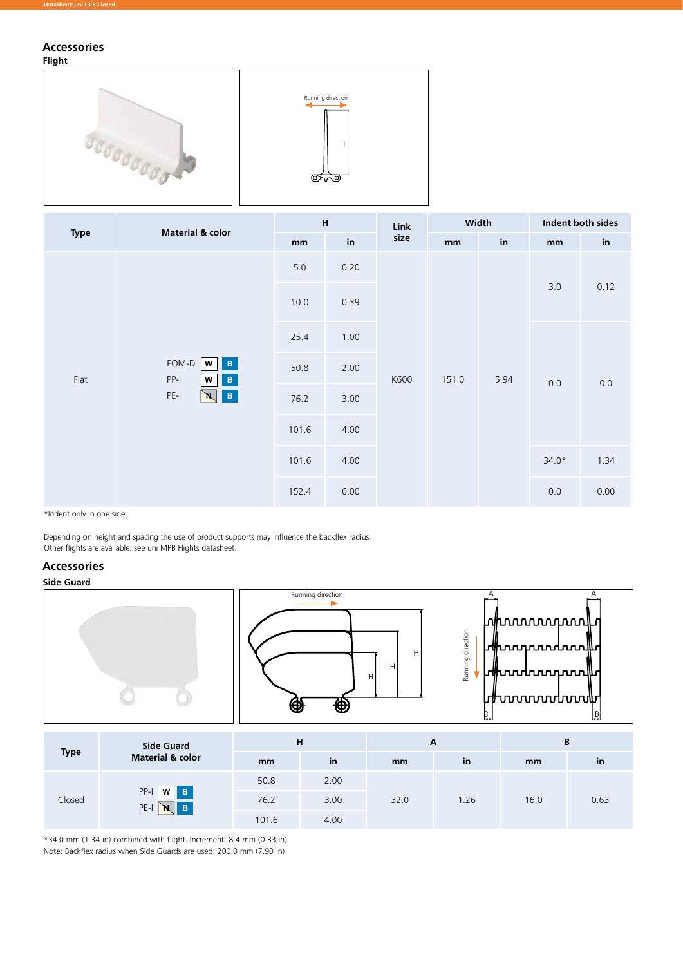# **Accessories**

### **Flight**





| <b>Type</b> | <b>Material &amp; color</b>                                       | $\boldsymbol{\mathsf{H}}$ |      | Link | Width |      | Indent both sides |                      |  |
|-------------|-------------------------------------------------------------------|---------------------------|------|------|-------|------|-------------------|----------------------|--|
|             |                                                                   | mm                        | in   | size | mm    | in   | mm                | $\mathop{\text{in}}$ |  |
|             |                                                                   | $5.0$                     | 0.20 | K600 | 151.0 |      |                   |                      |  |
|             |                                                                   | 10.0                      | 0.39 |      |       | 5.94 | 3.0               | 0.12                 |  |
|             |                                                                   | 25.4                      | 1.00 |      |       |      |                   |                      |  |
| Flat        | POM-D W<br>$\vert\mathbf{B}\vert$<br>PP-I<br>$\, {\bf B} \,$<br>W | 50.8                      | 2.00 |      |       |      | $0.0\,$           | $0.0\,$              |  |
|             | $\vert\mathbf{B}\vert$<br>PE-I<br>N                               | 76.2                      | 3.00 |      |       |      |                   |                      |  |
|             |                                                                   | 101.6                     | 4.00 |      |       |      |                   |                      |  |
|             |                                                                   | 101.6                     | 4.00 |      |       |      | $34.0*$           | 1.34                 |  |
|             |                                                                   | 152.4                     | 6.00 |      |       |      | 0.0               | 0.00                 |  |

\*Indent only in one side.

Depending on height and spacing the use of product supports may influence the backflex radius. Other flights are avaliable: see uni MPB Flights datasheet.

# **Accessories**

# **Side Guard**



\*34.0 mm (1.34 in) combined with flight. Increment: 8.4 mm (0.33 in).

Note: Backflex radius when Side Guards are used: 200.0 mm (7.90 in)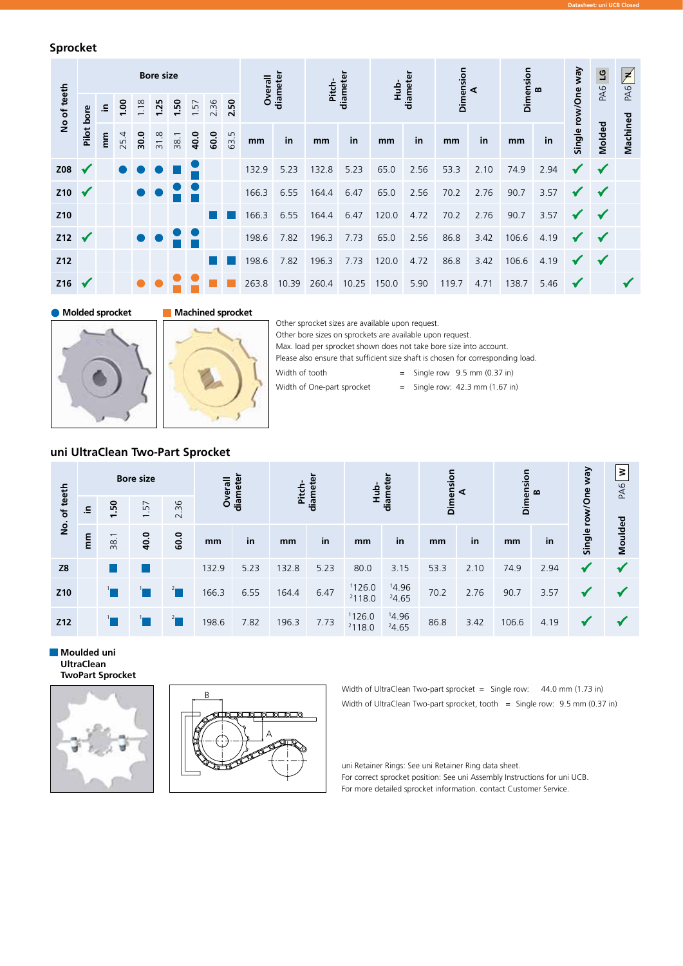## **Sprocket**

|                 |              |                          |      |      | <b>Bore size</b>            |      |      |      |      | Overall | diameter | Pitch- | diameter | <u>d</u><br>Ни | diameter | Dimension | ∢    | Dimension | മ    | Vew          | $\overline{5}$<br>PA6 | Ł<br>PA6 |
|-----------------|--------------|--------------------------|------|------|-----------------------------|------|------|------|------|---------|----------|--------|----------|----------------|----------|-----------|------|-----------|------|--------------|-----------------------|----------|
| No of teeth     |              | 1.00<br>크.               |      | 1.18 | 1.25                        | 1.50 | 1.57 | 2.36 | 2.50 |         |          |        |          |                |          |           |      |           |      | row/One      |                       |          |
|                 | Pilot bore   | $\widetilde{\mathbf{E}}$ | 25.4 | 30.0 | $\infty$<br>$\overline{31}$ | 38.1 | 40.0 | 60.0 | 63.5 | mm      | in       | mm     | in       | mm             | in       | mm        | in   | mm        | in   | Single I     | Molded                | Machined |
| Z08             | $\checkmark$ |                          |      |      |                             |      |      |      |      | 132.9   | 5.23     | 132.8  | 5.23     | 65.0           | 2.56     | 53.3      | 2.10 | 74.9      | 2.94 | $\checkmark$ | $\checkmark$          |          |
| Z10             | $\checkmark$ |                          |      |      |                             |      |      |      |      | 166.3   | 6.55     | 164.4  | 6.47     | 65.0           | 2.56     | 70.2      | 2.76 | 90.7      | 3.57 | $\checkmark$ | $\checkmark$          |          |
| Z <sub>10</sub> |              |                          |      |      |                             |      |      |      |      | 166.3   | 6.55     | 164.4  | 6.47     | 120.0          | 4.72     | 70.2      | 2.76 | 90.7      | 3.57 | $\checkmark$ | $\sqrt{}$             |          |
| $212 \sqrt{}$   |              |                          |      |      |                             |      |      |      |      | 198.6   | 7.82     | 196.3  | 7.73     | 65.0           | 2.56     | 86.8      | 3.42 | 106.6     | 4.19 | $\checkmark$ | $\checkmark$          |          |
| Z12             |              |                          |      |      |                             |      |      |      |      | 198.6   | 7.82     | 196.3  | 7.73     | 120.0          | 4.72     | 86.8      | 3.42 | 106.6     | 4.19 | $\checkmark$ | $\checkmark$          |          |
| Z16             |              |                          |      |      |                             |      |      |      |      | 263.8   | 10.39    | 260.4  | 10.25    | 150.0          | 5.90     | 119.7     | 4.71 | 138.7     | 5.46 | $\checkmark$ |                       |          |

**Molded sprocket Machined sprocket**



Other sprocket sizes are available upon request. Other bore sizes on sprockets are available upon request. Max. load per sprocket shown does not take bore size into account. Please also ensure that sufficient size shaft is chosen for corresponding load. Width of tooth  $=$  Single row 9.5 mm (0.37 in) Width of One-part sprocket  $=$  Single row: 42.3 mm (1.67 in)

# **uni UltraClean Two-Part Sprocket**

| No. of teeth                                                |                  |      | <b>Bore size</b> |      | Overall | diameter | Pitch- | diameter | Hub-             | diameter       | Dimension | ⋖    | Dimension | $\mathbf{a}$ |                    | ξ<br>PA6 |
|-------------------------------------------------------------|------------------|------|------------------|------|---------|----------|--------|----------|------------------|----------------|-----------|------|-----------|--------------|--------------------|----------|
|                                                             | 르.               | 1.50 | 1.57             | 2.36 |         |          |        |          |                  |                |           |      |           |              |                    |          |
|                                                             | $\sum_{i=1}^{n}$ | 38.1 | 40.0             | 60.0 | mm      | in       | mm     | in       | mm               | in             | mm        | in   | mm        | in           | Single row/One way | Moulded  |
| Z8                                                          |                  |      |                  |      | 132.9   | 5.23     | 132.8  | 5.23     | 80.0             | 3.15           | 53.3      | 2.10 | 74.9      | 2.94         | ✔                  |          |
| Z10                                                         |                  |      |                  |      | 166.3   | 6.55     | 164.4  | 6.47     | 1126.0<br>2118.0 | 14.96<br>24.65 | 70.2      | 2.76 | 90.7      | 3.57         | √                  |          |
| Z12                                                         |                  |      |                  |      | 198.6   | 7.82     | 196.3  | 7.73     | 1126.0<br>2118.0 | 14.96<br>24.65 | 86.8      | 3.42 | 106.6     | 4.19         | √                  |          |
| Moulded uni<br><b>UltraClean</b><br><b>TwoPart Sprocket</b> |                  |      |                  |      |         |          |        |          |                  |                |           |      |           |              |                    |          |





Width of UltraClean Two-part sprocket = Single row: 44.0 mm (1.73 in) Width of UltraClean Two-part sprocket, tooth = Single row: 9.5 mm (0.37 in)

**Datasheet: uni UCB Closed** 

uni Retainer Rings: See uni Retainer Ring data sheet. For correct sprocket position: See uni Assembly Instructions for uni UCB. For more detailed sprocket information. contact Customer Service.